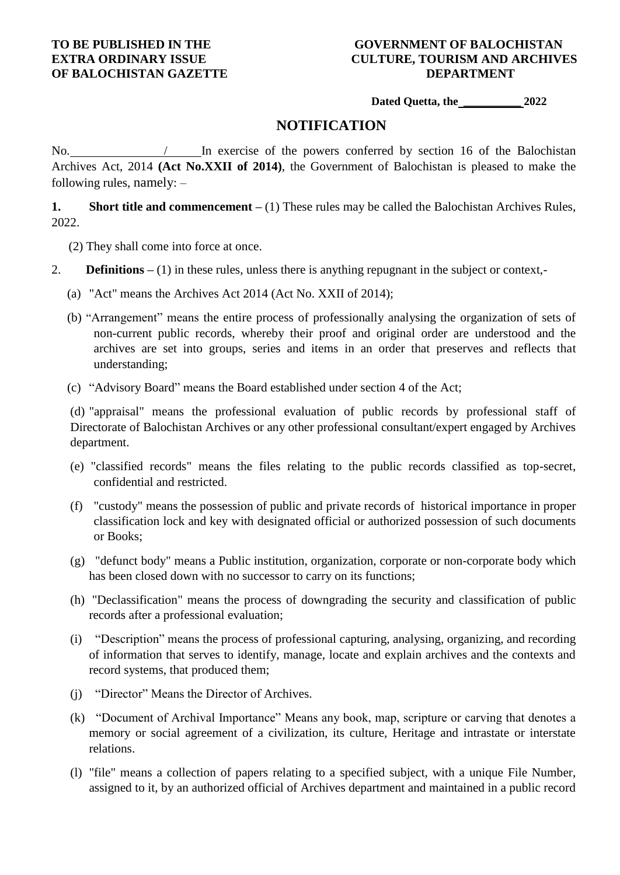# TO BE PUBLISHED IN THE **GOVERNMENT OF BALOCHISTAN EXTRA ORDINARY ISSUE CULTURE, TOURISM AND ARCHIVES**

## **Dated Quetta, the \_\_\_\_\_\_\_\_\_\_ 2022**

# **NOTIFICATION**

No. / In exercise of the powers conferred by section 16 of the Balochistan Archives Act, 2014 **(Act No.XXII of 2014)**, the Government of Balochistan is pleased to make the following rules, namely: –

**1. Short title and commencement –** (1) These rules may be called the Balochistan Archives Rules, 2022.

(2) They shall come into force at once.

- 2. **Definitions –** (1) in these rules, unless there is anything repugnant in the subject or context,-
	- (a) "Act" means the Archives Act 2014 (Act No. XXII of 2014);
	- (b) "Arrangement" means the entire process of professionally analysing the organization of sets of non-current public records, whereby their proof and original order are understood and the archives are set into groups, series and items in an order that preserves and reflects that understanding;
	- (c) "Advisory Board" means the Board established under section 4 of the Act;

(d) "appraisal" means the professional evaluation of public records by professional staff of Directorate of Balochistan Archives or any other professional consultant/expert engaged by Archives department.

- (e) "classified records" means the files relating to the public records classified as top-secret, confidential and restricted.
- (f) "custody" means the possession of public and private records of historical importance in proper classification lock and key with designated official or authorized possession of such documents or Books;
- (g) "defunct body" means a Public institution, organization, corporate or non-corporate body which has been closed down with no successor to carry on its functions;
- (h) "Declassification" means the process of downgrading the security and classification of public records after a professional evaluation;
- (i) "Description" means the process of professional capturing, analysing, organizing, and recording of information that serves to identify, manage, locate and explain archives and the contexts and record systems, that produced them;
- (j) "Director" Means the Director of Archives.
- (k) "Document of Archival Importance" Means any book, map, scripture or carving that denotes a memory or social agreement of a civilization, its culture, Heritage and intrastate or interstate relations.
- (l) "file" means a collection of papers relating to a specified subject, with a unique File Number, assigned to it, by an authorized official of Archives department and maintained in a public record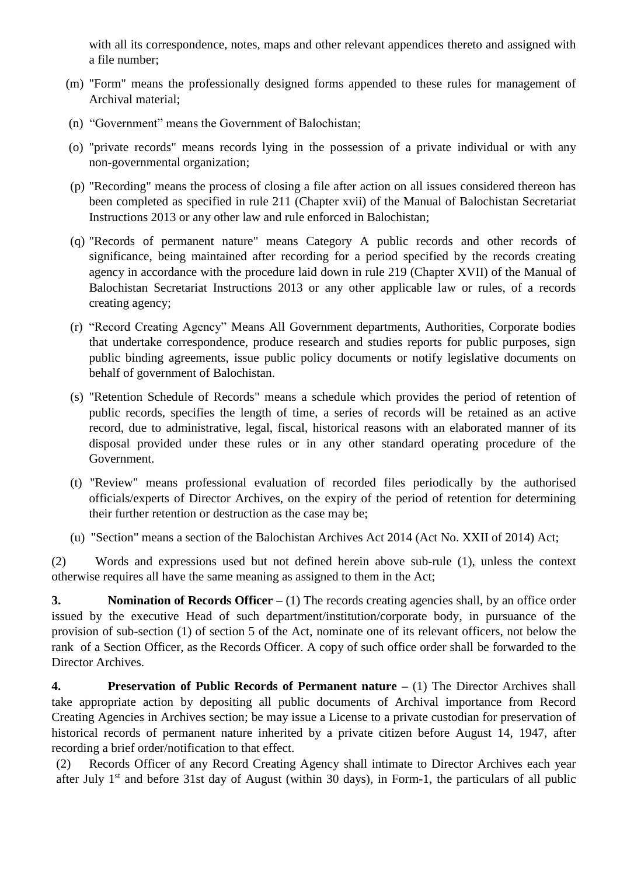with all its correspondence, notes, maps and other relevant appendices thereto and assigned with a file number;

- (m) "Form" means the professionally designed forms appended to these rules for management of Archival material;
- (n) "Government" means the Government of Balochistan;
- (o) "private records" means records lying in the possession of a private individual or with any non-governmental organization;
- (p) "Recording" means the process of closing a file after action on all issues considered thereon has been completed as specified in rule 211 (Chapter xvii) of the Manual of Balochistan Secretariat Instructions 2013 or any other law and rule enforced in Balochistan;
- (q) "Records of permanent nature" means Category A public records and other records of significance, being maintained after recording for a period specified by the records creating agency in accordance with the procedure laid down in rule 219 (Chapter XVII) of the Manual of Balochistan Secretariat Instructions 2013 or any other applicable law or rules, of a records creating agency;
- (r) "Record Creating Agency" Means All Government departments, Authorities, Corporate bodies that undertake correspondence, produce research and studies reports for public purposes, sign public binding agreements, issue public policy documents or notify legislative documents on behalf of government of Balochistan.
- (s) "Retention Schedule of Records" means a schedule which provides the period of retention of public records, specifies the length of time, a series of records will be retained as an active record, due to administrative, legal, fiscal, historical reasons with an elaborated manner of its disposal provided under these rules or in any other standard operating procedure of the Government.
- (t) "Review" means professional evaluation of recorded files periodically by the authorised officials/experts of Director Archives, on the expiry of the period of retention for determining their further retention or destruction as the case may be;
- (u) "Section" means a section of the Balochistan Archives Act 2014 (Act No. XXII of 2014) Act;

(2) Words and expressions used but not defined herein above sub-rule (1), unless the context otherwise requires all have the same meaning as assigned to them in the Act;

**3.** Nomination of Records Officer – (1) The records creating agencies shall, by an office order issued by the executive Head of such department/institution/corporate body, in pursuance of the provision of sub-section (1) of section 5 of the Act, nominate one of its relevant officers, not below the rank of a Section Officer, as the Records Officer. A copy of such office order shall be forwarded to the Director Archives.

**4. Preservation of Public Records of Permanent nature –** (1) The Director Archives shall take appropriate action by depositing all public documents of Archival importance from Record Creating Agencies in Archives section; be may issue a License to a private custodian for preservation of historical records of permanent nature inherited by a private citizen before August 14, 1947, after recording a brief order/notification to that effect.

(2) Records Officer of any Record Creating Agency shall intimate to Director Archives each year after July  $1<sup>st</sup>$  and before 31st day of August (within 30 days), in Form-1, the particulars of all public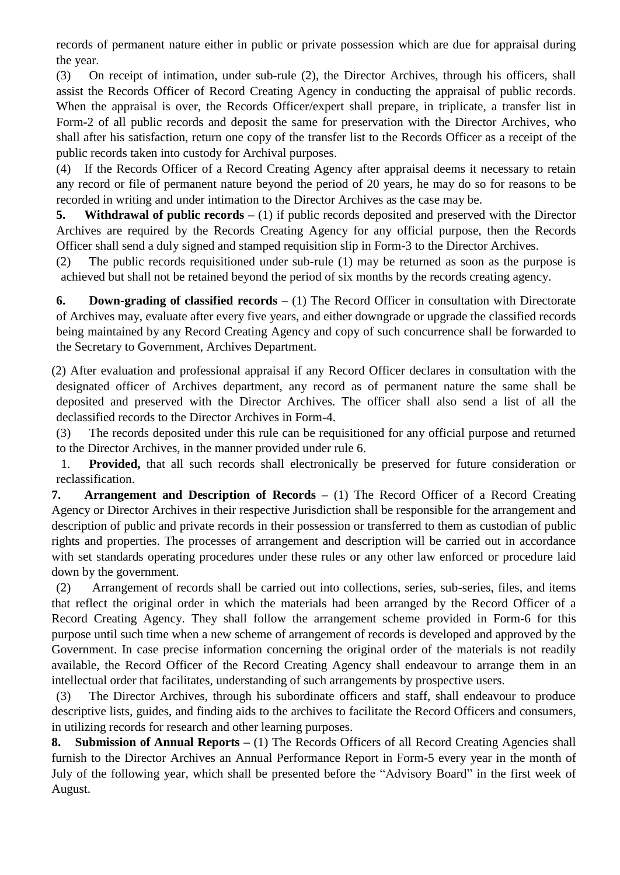records of permanent nature either in public or private possession which are due for appraisal during the year.

(3) On receipt of intimation, under sub-rule (2), the Director Archives, through his officers, shall assist the Records Officer of Record Creating Agency in conducting the appraisal of public records. When the appraisal is over, the Records Officer/expert shall prepare, in triplicate, a transfer list in Form-2 of all public records and deposit the same for preservation with the Director Archives, who shall after his satisfaction, return one copy of the transfer list to the Records Officer as a receipt of the public records taken into custody for Archival purposes.

(4) If the Records Officer of a Record Creating Agency after appraisal deems it necessary to retain any record or file of permanent nature beyond the period of 20 years, he may do so for reasons to be recorded in writing and under intimation to the Director Archives as the case may be.

**5. Withdrawal of public records –** (1) if public records deposited and preserved with the Director Archives are required by the Records Creating Agency for any official purpose, then the Records Officer shall send a duly signed and stamped requisition slip in Form-3 to the Director Archives.

(2) The public records requisitioned under sub-rule (1) may be returned as soon as the purpose is achieved but shall not be retained beyond the period of six months by the records creating agency.

**6. Down-grading of classified records –** (1) The Record Officer in consultation with Directorate of Archives may, evaluate after every five years, and either downgrade or upgrade the classified records being maintained by any Record Creating Agency and copy of such concurrence shall be forwarded to the Secretary to Government, Archives Department.

(2) After evaluation and professional appraisal if any Record Officer declares in consultation with the designated officer of Archives department, any record as of permanent nature the same shall be deposited and preserved with the Director Archives. The officer shall also send a list of all the declassified records to the Director Archives in Form-4.

(3) The records deposited under this rule can be requisitioned for any official purpose and returned to the Director Archives, in the manner provided under rule 6.

1. **Provided,** that all such records shall electronically be preserved for future consideration or reclassification.

**7. Arrangement and Description of Records –** (1) The Record Officer of a Record Creating Agency or Director Archives in their respective Jurisdiction shall be responsible for the arrangement and description of public and private records in their possession or transferred to them as custodian of public rights and properties. The processes of arrangement and description will be carried out in accordance with set standards operating procedures under these rules or any other law enforced or procedure laid down by the government.

(2) Arrangement of records shall be carried out into collections, series, sub-series, files, and items that reflect the original order in which the materials had been arranged by the Record Officer of a Record Creating Agency. They shall follow the arrangement scheme provided in Form-6 for this purpose until such time when a new scheme of arrangement of records is developed and approved by the Government. In case precise information concerning the original order of the materials is not readily available, the Record Officer of the Record Creating Agency shall endeavour to arrange them in an intellectual order that facilitates, understanding of such arrangements by prospective users.

(3) The Director Archives, through his subordinate officers and staff, shall endeavour to produce descriptive lists, guides, and finding aids to the archives to facilitate the Record Officers and consumers, in utilizing records for research and other learning purposes.

**8. Submission of Annual Reports –** (1) The Records Officers of all Record Creating Agencies shall furnish to the Director Archives an Annual Performance Report in Form-5 every year in the month of July of the following year, which shall be presented before the "Advisory Board" in the first week of August.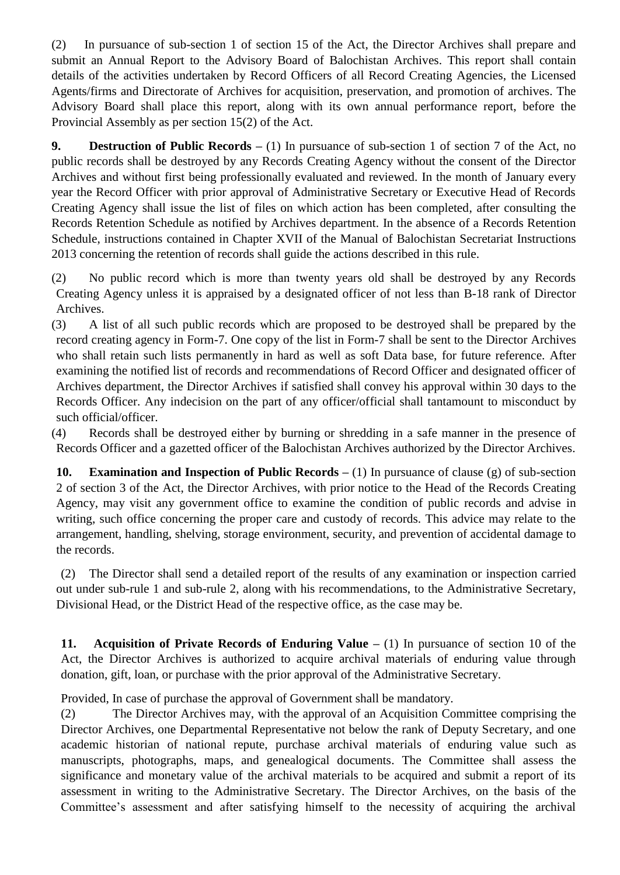(2) In pursuance of sub-section 1 of section 15 of the Act, the Director Archives shall prepare and submit an Annual Report to the Advisory Board of Balochistan Archives. This report shall contain details of the activities undertaken by Record Officers of all Record Creating Agencies, the Licensed Agents/firms and Directorate of Archives for acquisition, preservation, and promotion of archives. The Advisory Board shall place this report, along with its own annual performance report, before the Provincial Assembly as per section 15(2) of the Act.

**9. Destruction of Public Records –** (1) In pursuance of sub-section 1 of section 7 of the Act, no public records shall be destroyed by any Records Creating Agency without the consent of the Director Archives and without first being professionally evaluated and reviewed. In the month of January every year the Record Officer with prior approval of Administrative Secretary or Executive Head of Records Creating Agency shall issue the list of files on which action has been completed, after consulting the Records Retention Schedule as notified by Archives department. In the absence of a Records Retention Schedule, instructions contained in Chapter XVII of the Manual of Balochistan Secretariat Instructions 2013 concerning the retention of records shall guide the actions described in this rule.

(2) No public record which is more than twenty years old shall be destroyed by any Records Creating Agency unless it is appraised by a designated officer of not less than B-18 rank of Director Archives.

(3) A list of all such public records which are proposed to be destroyed shall be prepared by the record creating agency in Form-7. One copy of the list in Form-7 shall be sent to the Director Archives who shall retain such lists permanently in hard as well as soft Data base, for future reference. After examining the notified list of records and recommendations of Record Officer and designated officer of Archives department, the Director Archives if satisfied shall convey his approval within 30 days to the Records Officer. Any indecision on the part of any officer/official shall tantamount to misconduct by such official/officer.

(4) Records shall be destroyed either by burning or shredding in a safe manner in the presence of Records Officer and a gazetted officer of the Balochistan Archives authorized by the Director Archives.

**10. Examination and Inspection of Public Records –** (1) In pursuance of clause (g) of sub-section 2 of section 3 of the Act, the Director Archives, with prior notice to the Head of the Records Creating Agency, may visit any government office to examine the condition of public records and advise in writing, such office concerning the proper care and custody of records. This advice may relate to the arrangement, handling, shelving, storage environment, security, and prevention of accidental damage to the records.

(2) The Director shall send a detailed report of the results of any examination or inspection carried out under sub-rule 1 and sub-rule 2, along with his recommendations, to the Administrative Secretary, Divisional Head, or the District Head of the respective office, as the case may be.

**11. Acquisition of Private Records of Enduring Value –** (1) In pursuance of section 10 of the Act, the Director Archives is authorized to acquire archival materials of enduring value through donation, gift, loan, or purchase with the prior approval of the Administrative Secretary.

Provided, In case of purchase the approval of Government shall be mandatory.

(2) The Director Archives may, with the approval of an Acquisition Committee comprising the Director Archives, one Departmental Representative not below the rank of Deputy Secretary, and one academic historian of national repute, purchase archival materials of enduring value such as manuscripts, photographs, maps, and genealogical documents. The Committee shall assess the significance and monetary value of the archival materials to be acquired and submit a report of its assessment in writing to the Administrative Secretary. The Director Archives, on the basis of the Committee's assessment and after satisfying himself to the necessity of acquiring the archival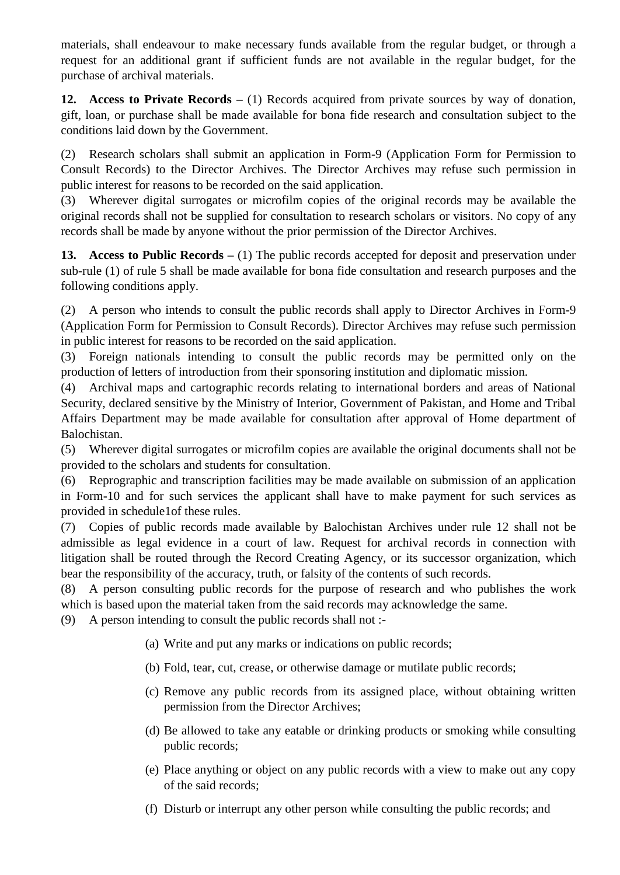materials, shall endeavour to make necessary funds available from the regular budget, or through a request for an additional grant if sufficient funds are not available in the regular budget, for the purchase of archival materials.

**12. Access to Private Records –** (1) Records acquired from private sources by way of donation, gift, loan, or purchase shall be made available for bona fide research and consultation subject to the conditions laid down by the Government.

(2) Research scholars shall submit an application in Form-9 (Application Form for Permission to Consult Records) to the Director Archives. The Director Archives may refuse such permission in public interest for reasons to be recorded on the said application.

(3) Wherever digital surrogates or microfilm copies of the original records may be available the original records shall not be supplied for consultation to research scholars or visitors. No copy of any records shall be made by anyone without the prior permission of the Director Archives.

**13. Access to Public Records –** (1) The public records accepted for deposit and preservation under sub-rule (1) of rule 5 shall be made available for bona fide consultation and research purposes and the following conditions apply.

(2) A person who intends to consult the public records shall apply to Director Archives in Form-9 (Application Form for Permission to Consult Records). Director Archives may refuse such permission in public interest for reasons to be recorded on the said application.

(3) Foreign nationals intending to consult the public records may be permitted only on the production of letters of introduction from their sponsoring institution and diplomatic mission.

(4) Archival maps and cartographic records relating to international borders and areas of National Security, declared sensitive by the Ministry of Interior, Government of Pakistan, and Home and Tribal Affairs Department may be made available for consultation after approval of Home department of Balochistan.

(5) Wherever digital surrogates or microfilm copies are available the original documents shall not be provided to the scholars and students for consultation.

(6) Reprographic and transcription facilities may be made available on submission of an application in Form-10 and for such services the applicant shall have to make payment for such services as provided in schedule1of these rules.

(7) Copies of public records made available by Balochistan Archives under rule 12 shall not be admissible as legal evidence in a court of law. Request for archival records in connection with litigation shall be routed through the Record Creating Agency, or its successor organization, which bear the responsibility of the accuracy, truth, or falsity of the contents of such records.

(8) A person consulting public records for the purpose of research and who publishes the work which is based upon the material taken from the said records may acknowledge the same.

(9) A person intending to consult the public records shall not :-

- (a) Write and put any marks or indications on public records;
- (b) Fold, tear, cut, crease, or otherwise damage or mutilate public records;
- (c) Remove any public records from its assigned place, without obtaining written permission from the Director Archives;
- (d) Be allowed to take any eatable or drinking products or smoking while consulting public records;
- (e) Place anything or object on any public records with a view to make out any copy of the said records;
- (f) Disturb or interrupt any other person while consulting the public records; and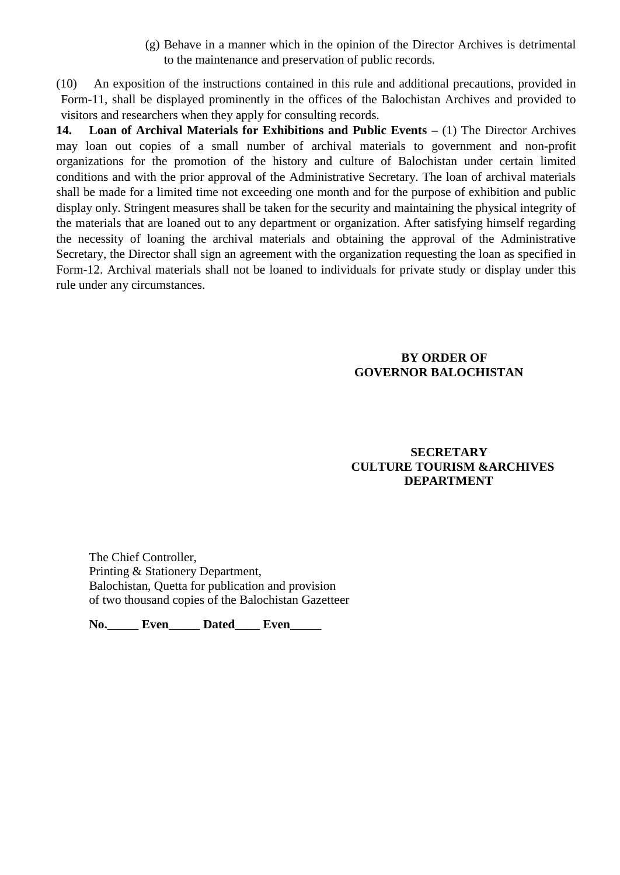(g) Behave in a manner which in the opinion of the Director Archives is detrimental to the maintenance and preservation of public records.

(10) An exposition of the instructions contained in this rule and additional precautions, provided in Form-11, shall be displayed prominently in the offices of the Balochistan Archives and provided to visitors and researchers when they apply for consulting records.

**14. Loan of Archival Materials for Exhibitions and Public Events –** (1) The Director Archives may loan out copies of a small number of archival materials to government and non-profit organizations for the promotion of the history and culture of Balochistan under certain limited conditions and with the prior approval of the Administrative Secretary. The loan of archival materials shall be made for a limited time not exceeding one month and for the purpose of exhibition and public display only. Stringent measures shall be taken for the security and maintaining the physical integrity of the materials that are loaned out to any department or organization. After satisfying himself regarding the necessity of loaning the archival materials and obtaining the approval of the Administrative Secretary, the Director shall sign an agreement with the organization requesting the loan as specified in Form-12. Archival materials shall not be loaned to individuals for private study or display under this rule under any circumstances.

#### **BY ORDER OF GOVERNOR BALOCHISTAN**

# **SECRETARY CULTURE TOURISM &ARCHIVES DEPARTMENT**

The Chief Controller, Printing & Stationery Department, Balochistan, Quetta for publication and provision of two thousand copies of the Balochistan Gazetteer

**No.\_\_\_\_\_ Even\_\_\_\_\_ Dated\_\_\_\_ Even\_\_\_\_\_**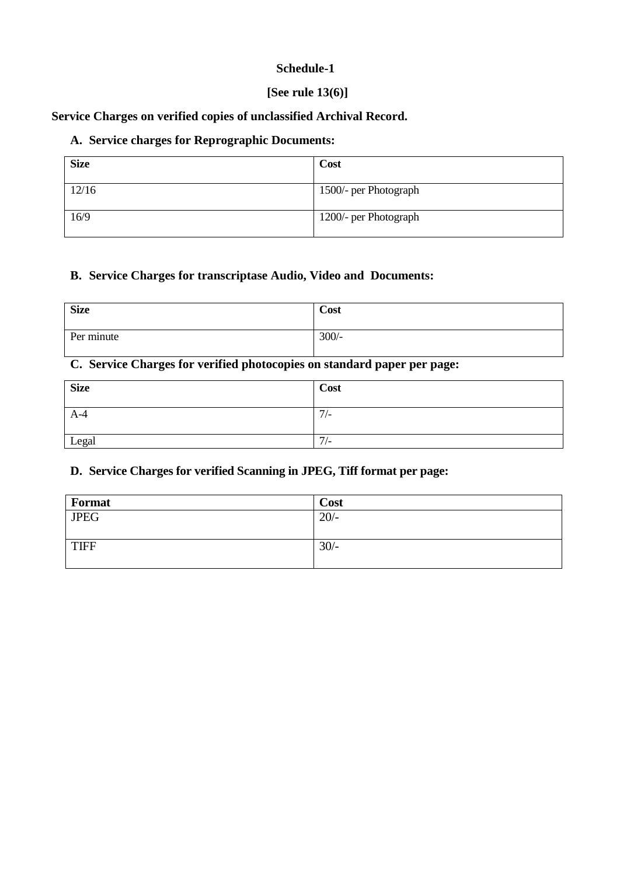### **Schedule-1**

#### **[See rule 13(6)]**

# **Service Charges on verified copies of unclassified Archival Record.**

## **A. Service charges for Reprographic Documents:**

| <b>Size</b> | Cost                  |
|-------------|-----------------------|
| 12/16       | 1500/- per Photograph |
| 16/9        | 1200/- per Photograph |

# **B. Service Charges for transcriptase Audio, Video and Documents:**

| <b>Size</b> | Cost    |
|-------------|---------|
| Per minute  | $300/-$ |

# **C. Service Charges for verified photocopies on standard paper per page:**

| <b>Size</b> | Cost                    |
|-------------|-------------------------|
| $A-4$       | $\overline{ }$<br>$1/-$ |
| Legal       | $7/-$                   |

#### **D. Service Charges for verified Scanning in JPEG, Tiff format per page:**

| Format      | Cost   |
|-------------|--------|
| <b>JPEG</b> | $20/-$ |
| <b>TIFF</b> | $30/-$ |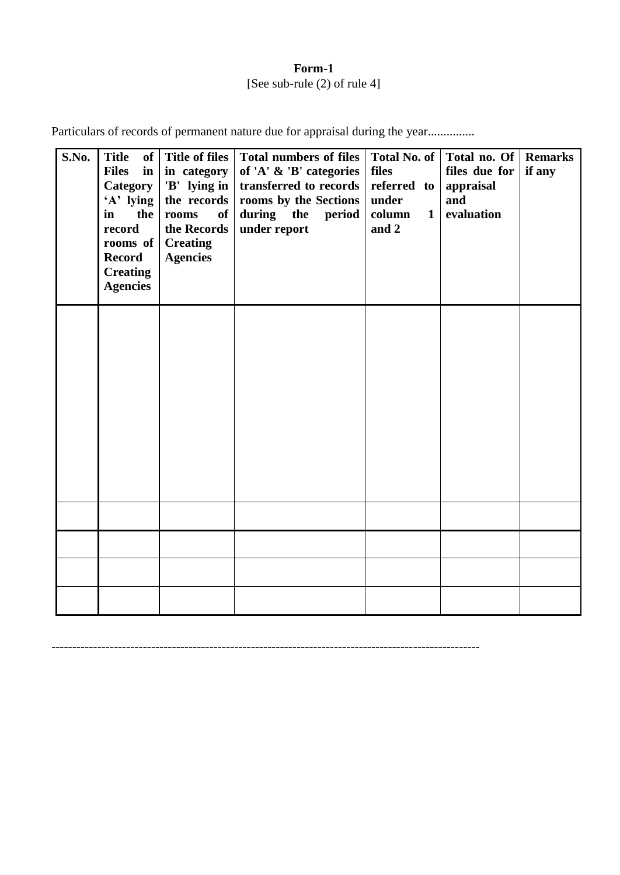# **Form-1** [See sub-rule (2) of rule 4]

Particulars of records of permanent nature due for appraisal during the year...............

| S.No. | <b>Title</b><br><b>Files</b><br>$\mathbf{in}$<br>Category<br>'A' lying<br>the  <br>in<br>record<br>rooms of<br><b>Record</b><br><b>Creating</b><br><b>Agencies</b> | of Title of files<br>in category<br>'B' lying in<br>the records<br>rooms<br>of<br>the Records<br><b>Creating</b><br><b>Agencies</b> | <b>Total numbers of files</b><br>of 'A' & 'B' categories<br>transferred to records<br>rooms by the Sections<br>during the period<br>under report | Total No. of<br>files<br>referred to<br>under<br>column<br>$\mathbf 1$<br>and 2 | Total no. Of<br>files due for<br>appraisal<br>and<br>evaluation | <b>Remarks</b><br>if any |
|-------|--------------------------------------------------------------------------------------------------------------------------------------------------------------------|-------------------------------------------------------------------------------------------------------------------------------------|--------------------------------------------------------------------------------------------------------------------------------------------------|---------------------------------------------------------------------------------|-----------------------------------------------------------------|--------------------------|
|       |                                                                                                                                                                    |                                                                                                                                     |                                                                                                                                                  |                                                                                 |                                                                 |                          |
|       |                                                                                                                                                                    |                                                                                                                                     |                                                                                                                                                  |                                                                                 |                                                                 |                          |
|       |                                                                                                                                                                    |                                                                                                                                     |                                                                                                                                                  |                                                                                 |                                                                 |                          |
|       |                                                                                                                                                                    |                                                                                                                                     |                                                                                                                                                  |                                                                                 |                                                                 |                          |
|       |                                                                                                                                                                    |                                                                                                                                     |                                                                                                                                                  |                                                                                 |                                                                 |                          |
|       |                                                                                                                                                                    |                                                                                                                                     |                                                                                                                                                  |                                                                                 |                                                                 |                          |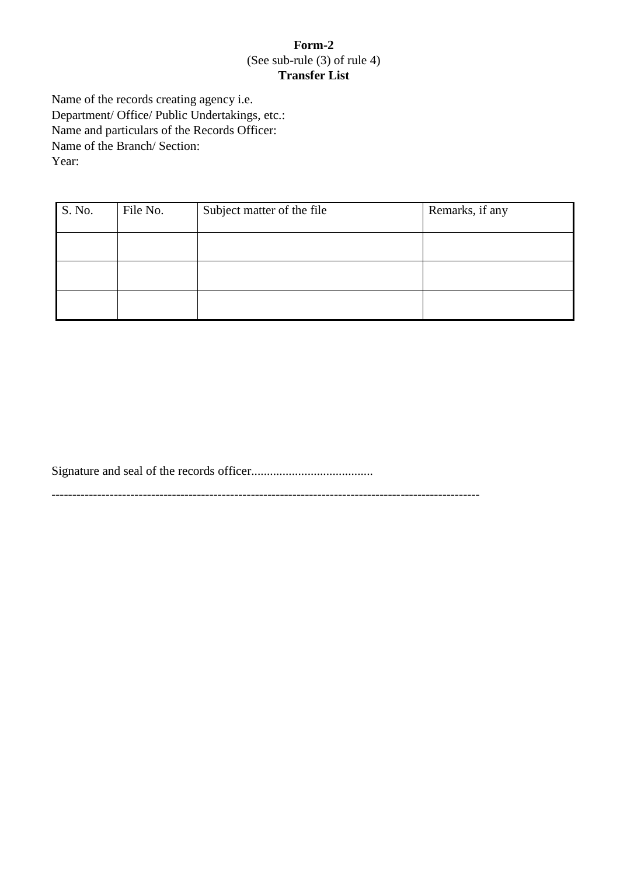# **Form-2** (See sub-rule (3) of rule 4) **Transfer List**

Name of the records creating agency i.e. Department/ Office/ Public Undertakings, etc.: Name and particulars of the Records Officer: Name of the Branch/ Section: Year:

| S. No. | File No. | Subject matter of the file | Remarks, if any |
|--------|----------|----------------------------|-----------------|
|        |          |                            |                 |
|        |          |                            |                 |
|        |          |                            |                 |

Signature and seal of the records officer.......................................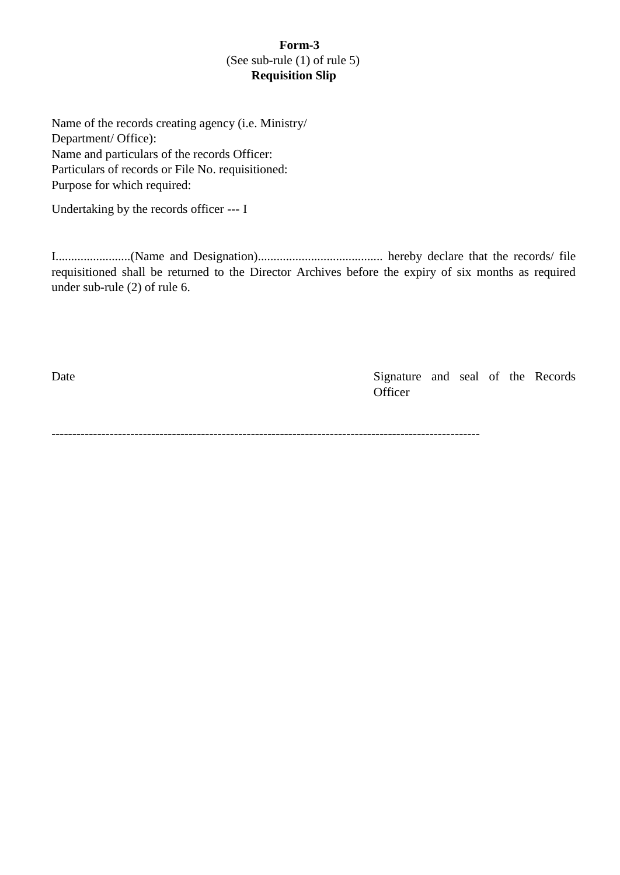### **Form-3** (See sub-rule (1) of rule 5)  **Requisition Slip**

Name of the records creating agency (i.e. Ministry/ Department/ Office): Name and particulars of the records Officer: Particulars of records or File No. requisitioned: Purpose for which required:

Undertaking by the records officer --- I

I........................(Name and Designation)........................................ hereby declare that the records/ file requisitioned shall be returned to the Director Archives before the expiry of six months as required under sub-rule (2) of rule 6.

Date Signature and seal of the Records **Officer**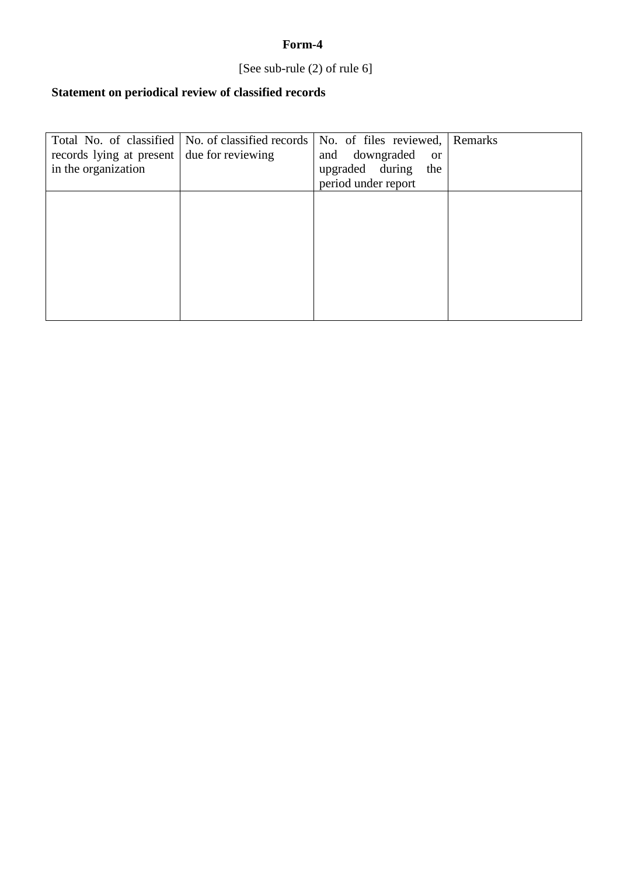# [See sub-rule (2) of rule 6]

# **Statement on periodical review of classified records**

| records lying at present | Total No. of classified   No. of classified records  <br>due for reviewing | No. of files reviewed, Remarks<br>and downgraded<br><sub>or</sub> |  |
|--------------------------|----------------------------------------------------------------------------|-------------------------------------------------------------------|--|
| in the organization      |                                                                            | upgraded during<br>the                                            |  |
|                          |                                                                            | period under report                                               |  |
|                          |                                                                            |                                                                   |  |
|                          |                                                                            |                                                                   |  |
|                          |                                                                            |                                                                   |  |
|                          |                                                                            |                                                                   |  |
|                          |                                                                            |                                                                   |  |
|                          |                                                                            |                                                                   |  |
|                          |                                                                            |                                                                   |  |
|                          |                                                                            |                                                                   |  |
|                          |                                                                            |                                                                   |  |
|                          |                                                                            |                                                                   |  |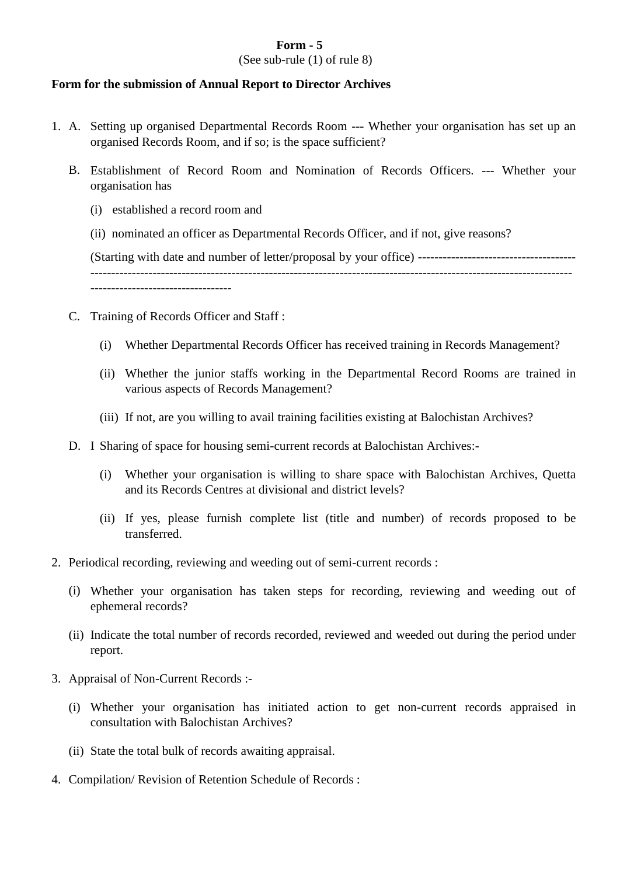#### (See sub-rule (1) of rule 8)

#### **Form for the submission of Annual Report to Director Archives**

- 1. A. Setting up organised Departmental Records Room --- Whether your organisation has set up an organised Records Room, and if so; is the space sufficient?
	- B. Establishment of Record Room and Nomination of Records Officers. --- Whether your organisation has
		- (i) established a record room and
		- (ii) nominated an officer as Departmental Records Officer, and if not, give reasons?

(Starting with date and number of letter/proposal by your office) -------------------------------------- -------------------------------------------------------------------------------------------------------------------- ----------------------------------

C. Training of Records Officer and Staff :

- (i) Whether Departmental Records Officer has received training in Records Management?
- (ii) Whether the junior staffs working in the Departmental Record Rooms are trained in various aspects of Records Management?
- (iii) If not, are you willing to avail training facilities existing at Balochistan Archives?
- D. I Sharing of space for housing semi-current records at Balochistan Archives:-
	- (i) Whether your organisation is willing to share space with Balochistan Archives, Quetta and its Records Centres at divisional and district levels?
	- (ii) If yes, please furnish complete list (title and number) of records proposed to be transferred.
- 2. Periodical recording, reviewing and weeding out of semi-current records :
	- (i) Whether your organisation has taken steps for recording, reviewing and weeding out of ephemeral records?
	- (ii) Indicate the total number of records recorded, reviewed and weeded out during the period under report.
- 3. Appraisal of Non-Current Records :-
	- (i) Whether your organisation has initiated action to get non-current records appraised in consultation with Balochistan Archives?
	- (ii) State the total bulk of records awaiting appraisal.
- 4. Compilation/ Revision of Retention Schedule of Records :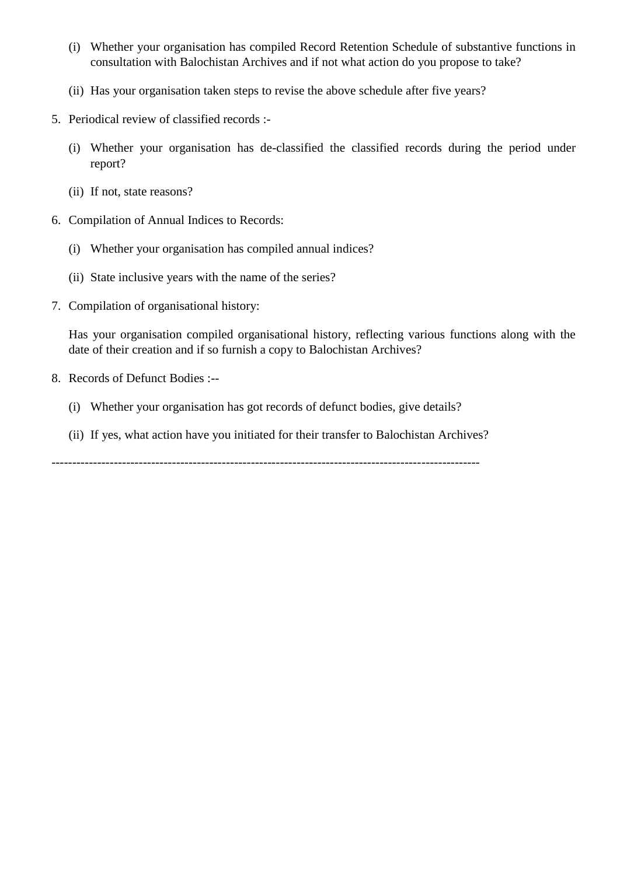- (i) Whether your organisation has compiled Record Retention Schedule of substantive functions in consultation with Balochistan Archives and if not what action do you propose to take?
- (ii) Has your organisation taken steps to revise the above schedule after five years?
- 5. Periodical review of classified records :-
	- (i) Whether your organisation has de-classified the classified records during the period under report?
	- (ii) If not, state reasons?
- 6. Compilation of Annual Indices to Records:
	- (i) Whether your organisation has compiled annual indices?
	- (ii) State inclusive years with the name of the series?
- 7. Compilation of organisational history:

Has your organisation compiled organisational history, reflecting various functions along with the date of their creation and if so furnish a copy to Balochistan Archives?

- 8. Records of Defunct Bodies :--
	- (i) Whether your organisation has got records of defunct bodies, give details?
	- (ii) If yes, what action have you initiated for their transfer to Balochistan Archives?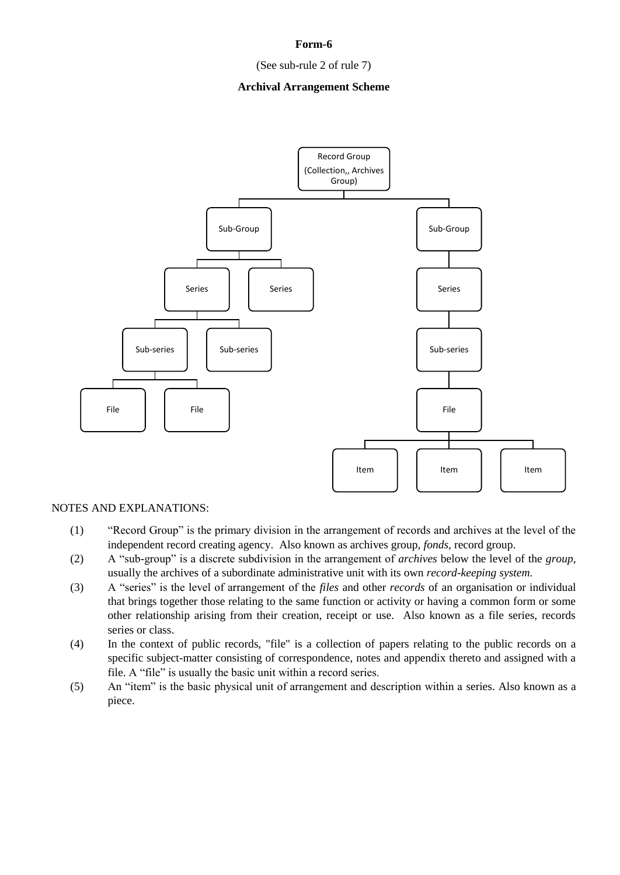#### (See sub-rule 2 of rule 7)

#### **Archival Arrangement Scheme**



#### NOTES AND EXPLANATIONS:

- (1) "Record Group" is the primary division in the arrangement of records and archives at the level of the independent record creating agency. Also known as archives group, *fonds,* record group.
- (2) A "sub-group" is a discrete subdivision in the arrangement of *archives* below the level of the *group,*  usually the archives of a subordinate administrative unit with its own *record-keeping system.*
- (3) A "series" is the level of arrangement of the *files* and other *records* of an organisation or individual that brings together those relating to the same function or activity or having a common form or some other relationship arising from their creation, receipt or use. Also known as a file series, records series or class.
- (4) In the context of public records, "file" is a collection of papers relating to the public records on a specific subject-matter consisting of correspondence, notes and appendix thereto and assigned with a file. A "file" is usually the basic unit within a record series.
- (5) An "item" is the basic physical unit of arrangement and description within a series. Also known as a piece.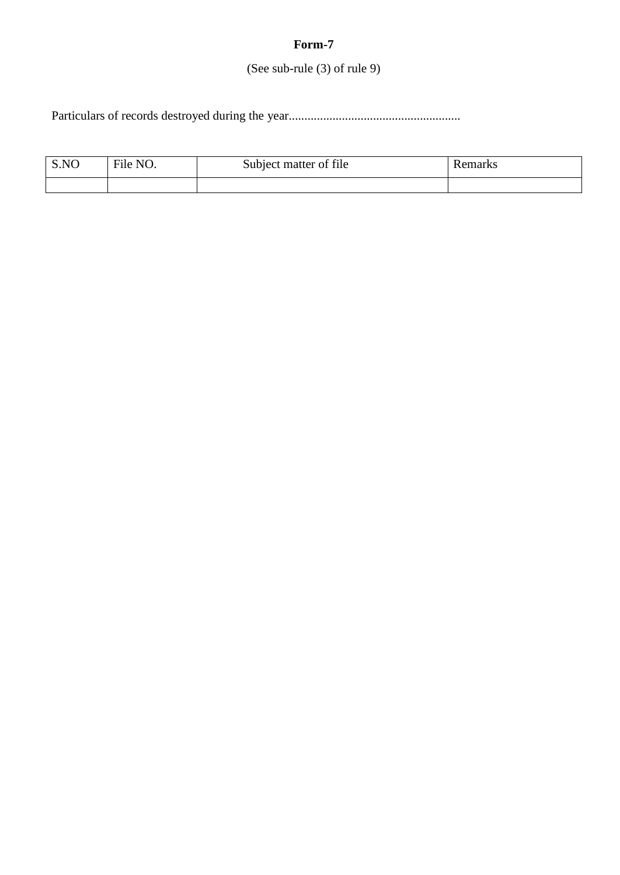# (See sub-rule (3) of rule 9)

Particulars of records destroyed during the year.......................................................

| S.NO | File NO. | Subject matter of file | Remarks |
|------|----------|------------------------|---------|
|      |          |                        |         |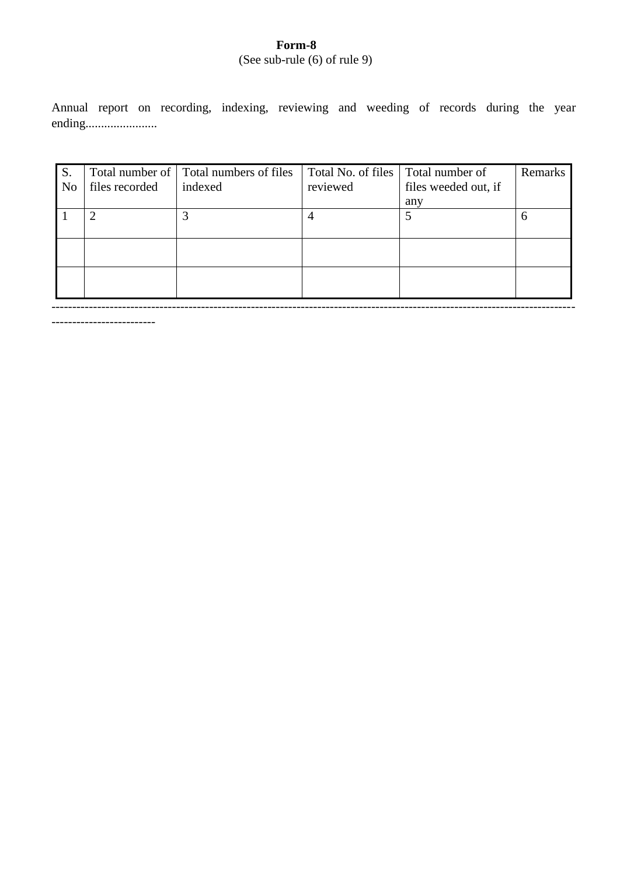# (See sub-rule (6) of rule 9)

Annual report on recording, indexing, reviewing and weeding of records during the year ending.......................

| S.             |                | Total number of Total numbers of files | Total No. of files Total number of |                      | Remarks |
|----------------|----------------|----------------------------------------|------------------------------------|----------------------|---------|
| N <sub>0</sub> | files recorded | indexed                                | reviewed                           | files weeded out, if |         |
|                |                |                                        |                                    | any                  |         |
|                |                |                                        |                                    |                      | 6       |
|                |                |                                        |                                    |                      |         |
|                |                |                                        |                                    |                      |         |
|                |                |                                        |                                    |                      |         |
|                |                |                                        |                                    |                      |         |
|                |                |                                        |                                    |                      |         |

------------------------------------------------------------------------------------------------------------------------------

-------------------------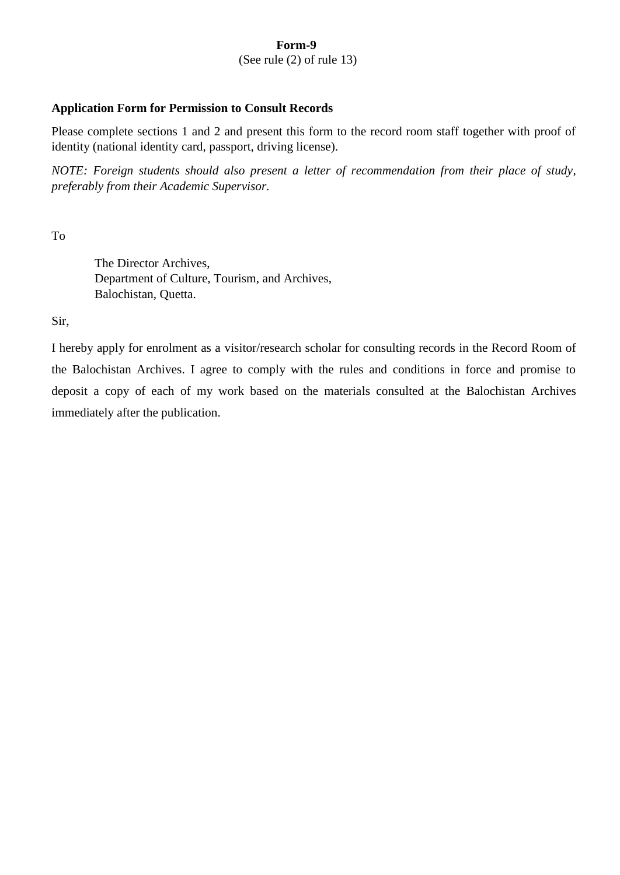(See rule (2) of rule 13)

### **Application Form for Permission to Consult Records**

Please complete sections 1 and 2 and present this form to the record room staff together with proof of identity (national identity card, passport, driving license).

*NOTE: Foreign students should also present a letter of recommendation from their place of study, preferably from their Academic Supervisor.* 

To

The Director Archives, Department of Culture, Tourism, and Archives, Balochistan, Quetta.

Sir,

I hereby apply for enrolment as a visitor/research scholar for consulting records in the Record Room of the Balochistan Archives. I agree to comply with the rules and conditions in force and promise to deposit a copy of each of my work based on the materials consulted at the Balochistan Archives immediately after the publication.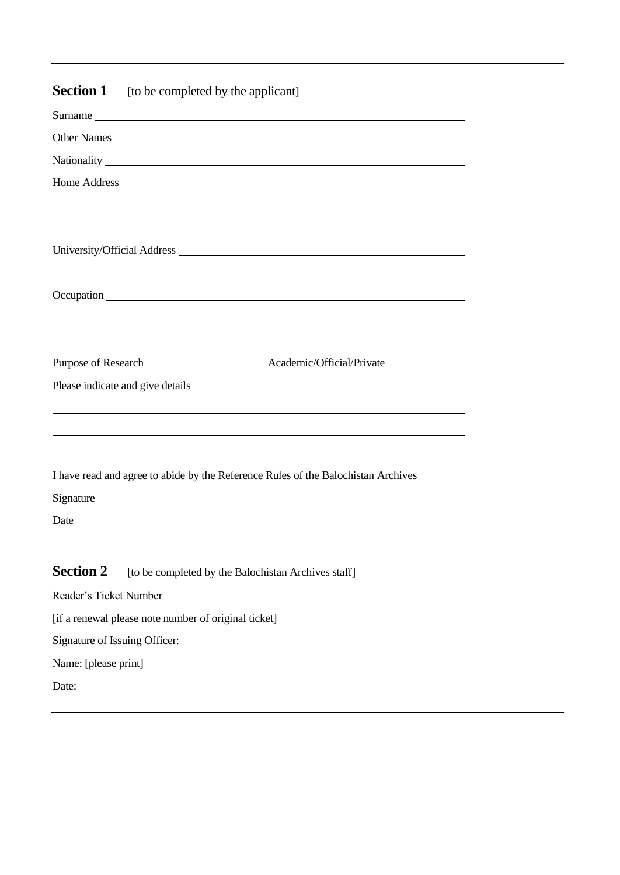| <b>Section 1</b> [to be completed by the applicant]                                                                                                                                                                                         |
|---------------------------------------------------------------------------------------------------------------------------------------------------------------------------------------------------------------------------------------------|
| Surname                                                                                                                                                                                                                                     |
| Other Names                                                                                                                                                                                                                                 |
|                                                                                                                                                                                                                                             |
|                                                                                                                                                                                                                                             |
| ,我们也不会有什么。""我们的人,我们也不会有什么?""我们的人,我们也不会有什么?""我们的人,我们也不会有什么?""我们的人,我们也不会有什么?""我们的人                                                                                                                                                            |
|                                                                                                                                                                                                                                             |
|                                                                                                                                                                                                                                             |
| Purpose of Research<br>Academic/Official/Private<br>Please indicate and give details                                                                                                                                                        |
|                                                                                                                                                                                                                                             |
| I have read and agree to abide by the Reference Rules of the Balochistan Archives                                                                                                                                                           |
| Signature<br>Date and the state of the state of the state of the state of the state of the state of the state of the state of the state of the state of the state of the state of the state of the state of the state of the state of the s |
| <b>Section 2</b><br>[to be completed by the Balochistan Archives staff]                                                                                                                                                                     |
| Reader's Ticket Number                                                                                                                                                                                                                      |
| [if a renewal please note number of original ticket]                                                                                                                                                                                        |
|                                                                                                                                                                                                                                             |
|                                                                                                                                                                                                                                             |

 $\overline{\phantom{0}}$ 

Date: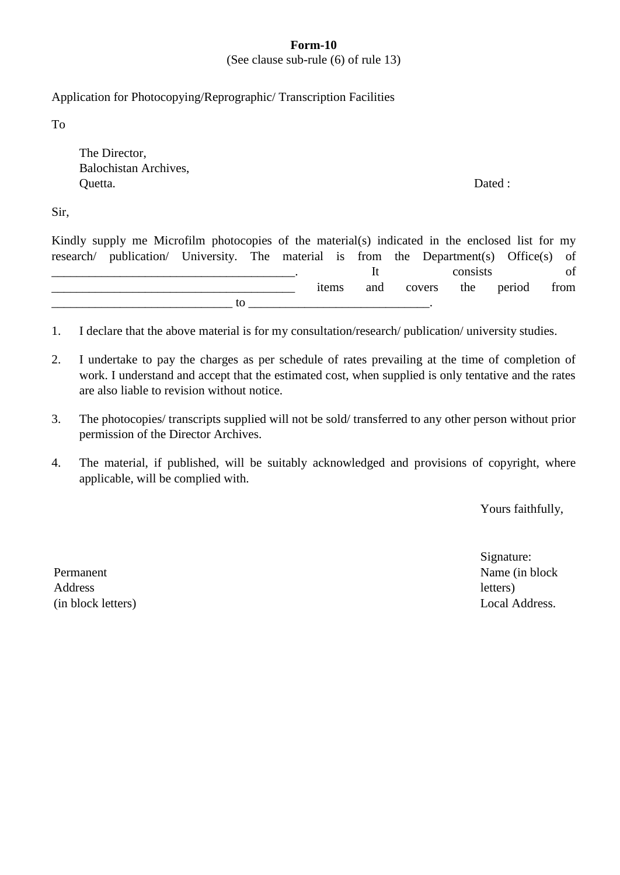(See clause sub-rule (6) of rule 13)

Application for Photocopying/Reprographic/ Transcription Facilities

To

The Director, Balochistan Archives, Quetta. Dated :

Sir,

| Kindly supply me Microfilm photocopies of the material(s) indicated in the enclosed list for my |                                                                                        |    |  |  |       |     |        |          |        |      |
|-------------------------------------------------------------------------------------------------|----------------------------------------------------------------------------------------|----|--|--|-------|-----|--------|----------|--------|------|
|                                                                                                 | research/ publication/ University. The material is from the Department(s) Office(s) of |    |  |  |       |     |        |          |        |      |
|                                                                                                 |                                                                                        |    |  |  |       |     |        | consists |        | of   |
|                                                                                                 |                                                                                        |    |  |  | items | and | covers | the      | period | from |
|                                                                                                 |                                                                                        | ĪΩ |  |  |       |     |        |          |        |      |

1. I declare that the above material is for my consultation/research/ publication/ university studies.

- 2. I undertake to pay the charges as per schedule of rates prevailing at the time of completion of work. I understand and accept that the estimated cost, when supplied is only tentative and the rates are also liable to revision without notice.
- 3. The photocopies/ transcripts supplied will not be sold/ transferred to any other person without prior permission of the Director Archives.
- 4. The material, if published, will be suitably acknowledged and provisions of copyright, where applicable, will be complied with.

Yours faithfully,

Permanent Address (in block letters) Signature: Name (in block letters) Local Address.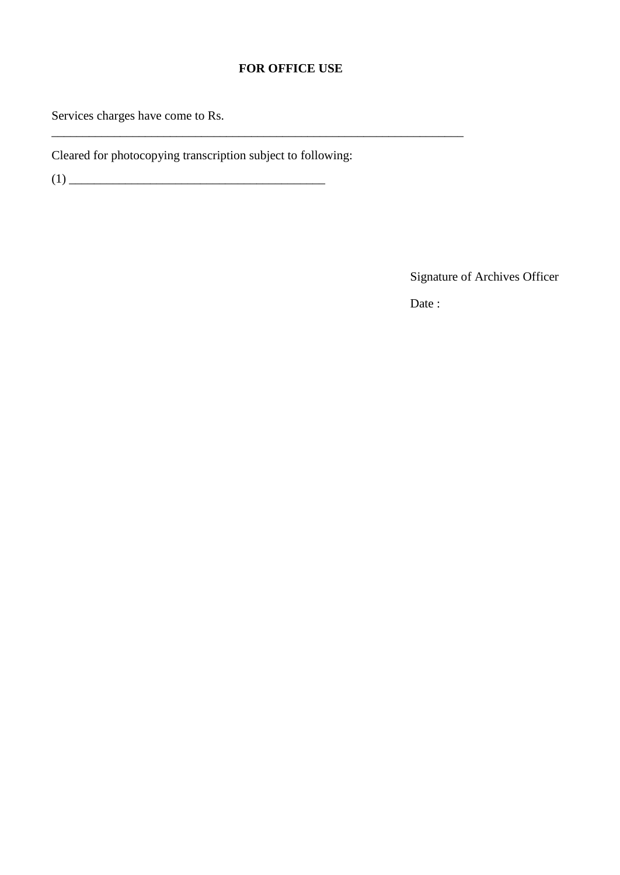## **FOR OFFICE USE**

 $\mathcal{L}_\text{max} = \mathcal{L}_\text{max} = \mathcal{L}_\text{max} = \mathcal{L}_\text{max} = \mathcal{L}_\text{max} = \mathcal{L}_\text{max} = \mathcal{L}_\text{max}$ 

Services charges have come to Rs.

Cleared for photocopying transcription subject to following:

(1) \_\_\_\_\_\_\_\_\_\_\_\_\_\_\_\_\_\_\_\_\_\_\_\_\_\_\_\_\_\_\_\_\_\_\_\_\_\_\_\_\_

Signature of Archives Officer

Date :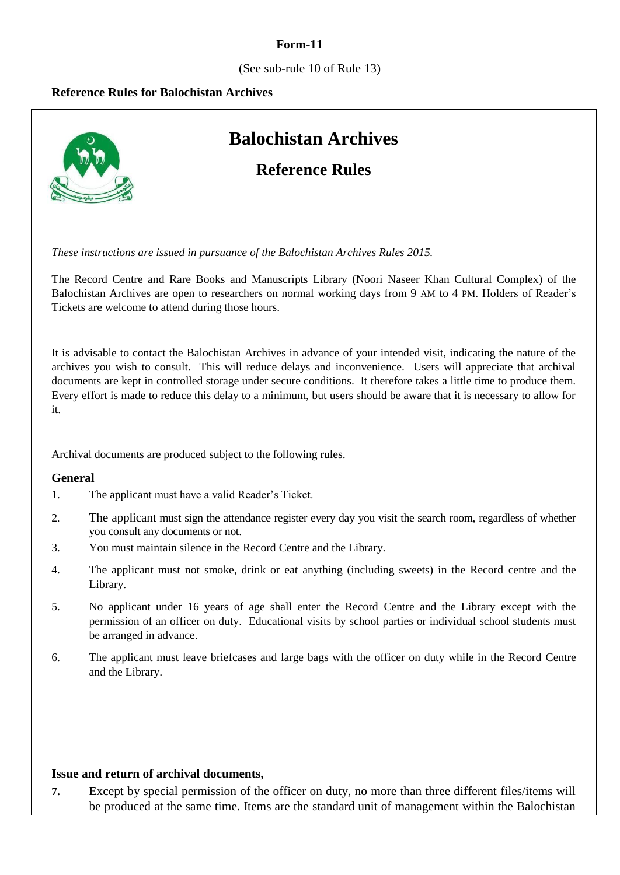(See sub-rule 10 of Rule 13)

#### **Reference Rules for Balochistan Archives**



# **Balochistan Archives**

# **Reference Rules**

*These instructions are issued in pursuance of the Balochistan Archives Rules 2015.*

The Record Centre and Rare Books and Manuscripts Library (Noori Naseer Khan Cultural Complex) of the Balochistan Archives are open to researchers on normal working days from 9 AM to 4 PM. Holders of Reader's Tickets are welcome to attend during those hours.

It is advisable to contact the Balochistan Archives in advance of your intended visit, indicating the nature of the archives you wish to consult. This will reduce delays and inconvenience. Users will appreciate that archival documents are kept in controlled storage under secure conditions. It therefore takes a little time to produce them. Every effort is made to reduce this delay to a minimum, but users should be aware that it is necessary to allow for it.

Archival documents are produced subject to the following rules.

#### **General**

- 1. The applicant must have a valid Reader's Ticket.
- 2. The applicant must sign the attendance register every day you visit the search room, regardless of whether you consult any documents or not.
- 3. You must maintain silence in the Record Centre and the Library.
- 4. The applicant must not smoke, drink or eat anything (including sweets) in the Record centre and the Library.
- 5. No applicant under 16 years of age shall enter the Record Centre and the Library except with the permission of an officer on duty. Educational visits by school parties or individual school students must be arranged in advance.
- 6. The applicant must leave briefcases and large bags with the officer on duty while in the Record Centre and the Library.

#### **Issue and return of archival documents,**

**7.** Except by special permission of the officer on duty, no more than three different files/items will be produced at the same time. Items are the standard unit of management within the Balochistan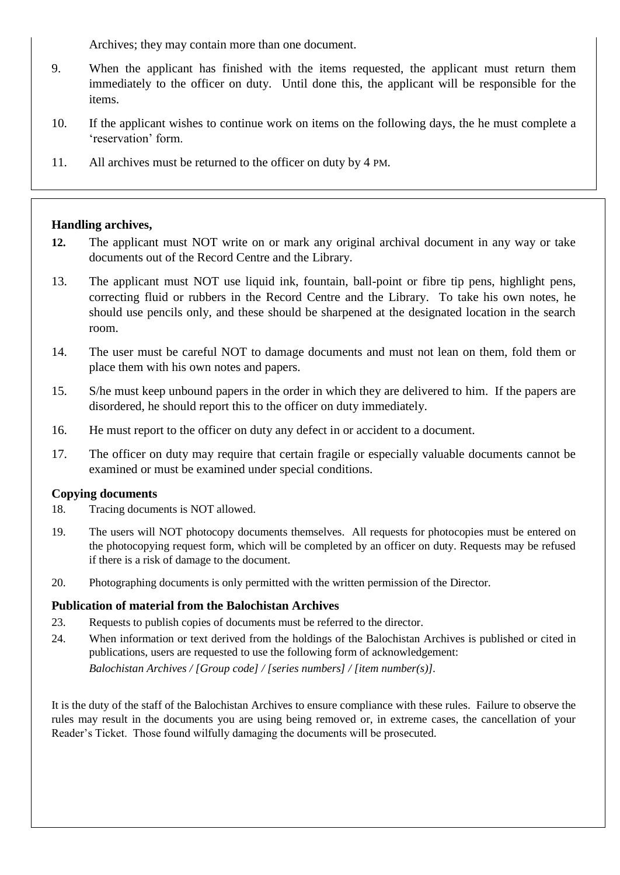Archives; they may contain more than one document.

- 9. When the applicant has finished with the items requested, the applicant must return them immediately to the officer on duty. Until done this, the applicant will be responsible for the items.
- 10. If the applicant wishes to continue work on items on the following days, the he must complete a 'reservation' form.
- 11. All archives must be returned to the officer on duty by 4 PM.

### **Handling archives,**

- **12.** The applicant must NOT write on or mark any original archival document in any way or take documents out of the Record Centre and the Library.
- 13. The applicant must NOT use liquid ink, fountain, ball-point or fibre tip pens, highlight pens, correcting fluid or rubbers in the Record Centre and the Library. To take his own notes, he should use pencils only, and these should be sharpened at the designated location in the search room.
- 14. The user must be careful NOT to damage documents and must not lean on them, fold them or place them with his own notes and papers.
- 15. S/he must keep unbound papers in the order in which they are delivered to him. If the papers are disordered, he should report this to the officer on duty immediately.
- 16. He must report to the officer on duty any defect in or accident to a document.
- 17. The officer on duty may require that certain fragile or especially valuable documents cannot be examined or must be examined under special conditions.

### **Copying documents**

- 18. Tracing documents is NOT allowed.
- 19. The users will NOT photocopy documents themselves. All requests for photocopies must be entered on the photocopying request form, which will be completed by an officer on duty. Requests may be refused if there is a risk of damage to the document.
- 20. Photographing documents is only permitted with the written permission of the Director.

### **Publication of material from the Balochistan Archives**

- 23. Requests to publish copies of documents must be referred to the director.
- 24. When information or text derived from the holdings of the Balochistan Archives is published or cited in publications, users are requested to use the following form of acknowledgement: *Balochistan Archives / [Group code] / [series numbers] / [item number(s)].*

It is the duty of the staff of the Balochistan Archives to ensure compliance with these rules. Failure to observe the rules may result in the documents you are using being removed or, in extreme cases, the cancellation of your Reader's Ticket. Those found wilfully damaging the documents will be prosecuted.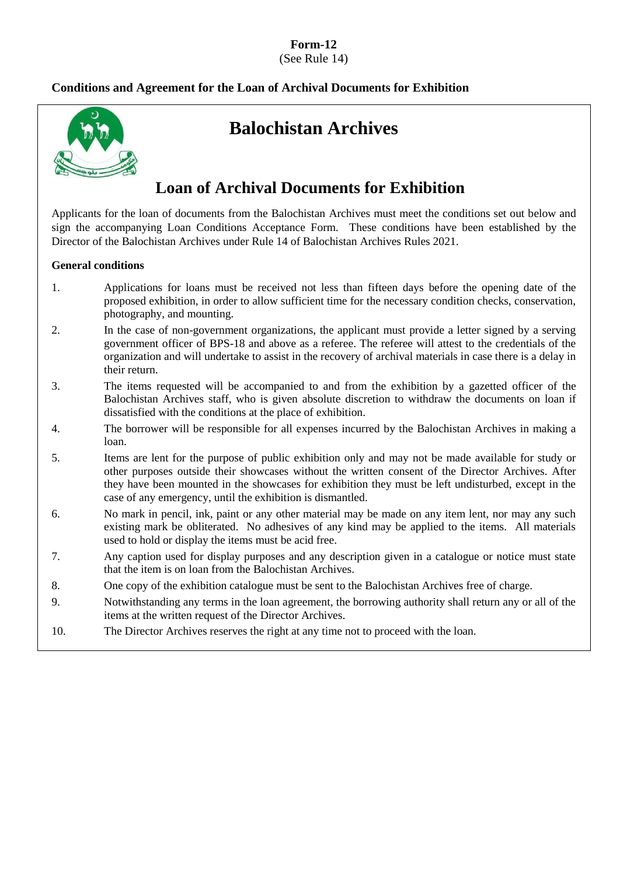#### (See Rule 14)

# **Conditions and Agreement for the Loan of Archival Documents for Exhibition**



# **Balochistan Archives**

# **Loan of Archival Documents for Exhibition**

Applicants for the loan of documents from the Balochistan Archives must meet the conditions set out below and sign the accompanying Loan Conditions Acceptance Form. These conditions have been established by the Director of the Balochistan Archives under Rule 14 of Balochistan Archives Rules 2021.

#### **General conditions**

- 1. Applications for loans must be received not less than fifteen days before the opening date of the proposed exhibition, in order to allow sufficient time for the necessary condition checks, conservation, photography, and mounting.
- 2. In the case of non-government organizations, the applicant must provide a letter signed by a serving government officer of BPS-18 and above as a referee. The referee will attest to the credentials of the organization and will undertake to assist in the recovery of archival materials in case there is a delay in their return.
- 3. The items requested will be accompanied to and from the exhibition by a gazetted officer of the Balochistan Archives staff, who is given absolute discretion to withdraw the documents on loan if dissatisfied with the conditions at the place of exhibition.
- 4. The borrower will be responsible for all expenses incurred by the Balochistan Archives in making a loan.
- 5. Items are lent for the purpose of public exhibition only and may not be made available for study or other purposes outside their showcases without the written consent of the Director Archives. After they have been mounted in the showcases for exhibition they must be left undisturbed, except in the case of any emergency, until the exhibition is dismantled.
- 6. No mark in pencil, ink, paint or any other material may be made on any item lent, nor may any such existing mark be obliterated. No adhesives of any kind may be applied to the items. All materials used to hold or display the items must be acid free.
- 7. Any caption used for display purposes and any description given in a catalogue or notice must state that the item is on loan from the Balochistan Archives.
- 8. One copy of the exhibition catalogue must be sent to the Balochistan Archives free of charge.
- 9. Notwithstanding any terms in the loan agreement, the borrowing authority shall return any or all of the items at the written request of the Director Archives.
- 10. The Director Archives reserves the right at any time not to proceed with the loan.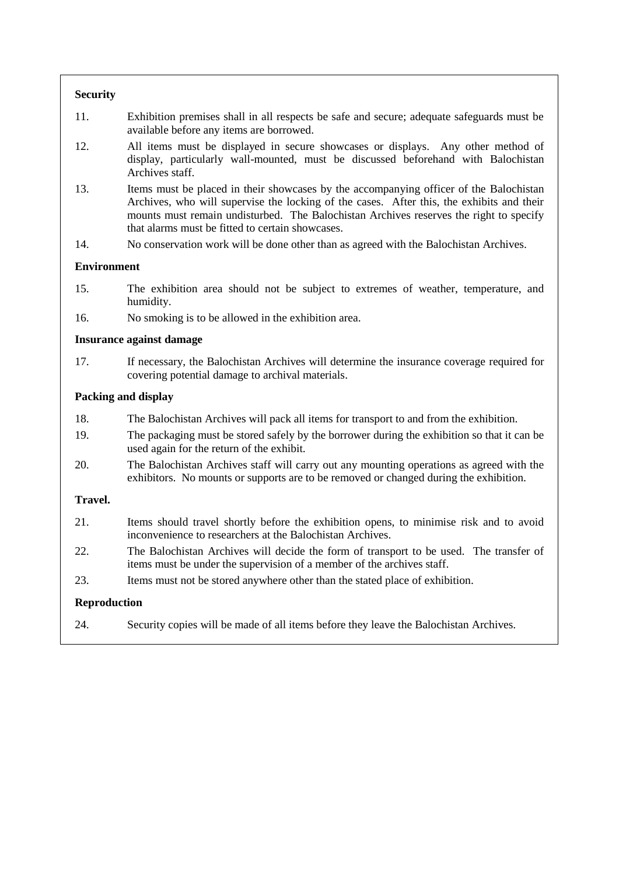#### **Security**

- 11. Exhibition premises shall in all respects be safe and secure; adequate safeguards must be available before any items are borrowed.
- 12. All items must be displayed in secure showcases or displays. Any other method of display, particularly wall-mounted, must be discussed beforehand with Balochistan Archives staff.
- 13. Items must be placed in their showcases by the accompanying officer of the Balochistan Archives, who will supervise the locking of the cases. After this, the exhibits and their mounts must remain undisturbed. The Balochistan Archives reserves the right to specify that alarms must be fitted to certain showcases.
- 14. No conservation work will be done other than as agreed with the Balochistan Archives.

#### **Environment**

- 15. The exhibition area should not be subject to extremes of weather, temperature, and humidity.
- 16. No smoking is to be allowed in the exhibition area.

#### **Insurance against damage**

17. If necessary, the Balochistan Archives will determine the insurance coverage required for covering potential damage to archival materials.

#### **Packing and display**

- 18. The Balochistan Archives will pack all items for transport to and from the exhibition.
- 19. The packaging must be stored safely by the borrower during the exhibition so that it can be used again for the return of the exhibit.
- 20. The Balochistan Archives staff will carry out any mounting operations as agreed with the exhibitors. No mounts or supports are to be removed or changed during the exhibition.

#### **Travel.**

- 21. Items should travel shortly before the exhibition opens, to minimise risk and to avoid inconvenience to researchers at the Balochistan Archives.
- 22. The Balochistan Archives will decide the form of transport to be used. The transfer of items must be under the supervision of a member of the archives staff.
- 23. Items must not be stored anywhere other than the stated place of exhibition.

#### **Reproduction**

24. Security copies will be made of all items before they leave the Balochistan Archives.